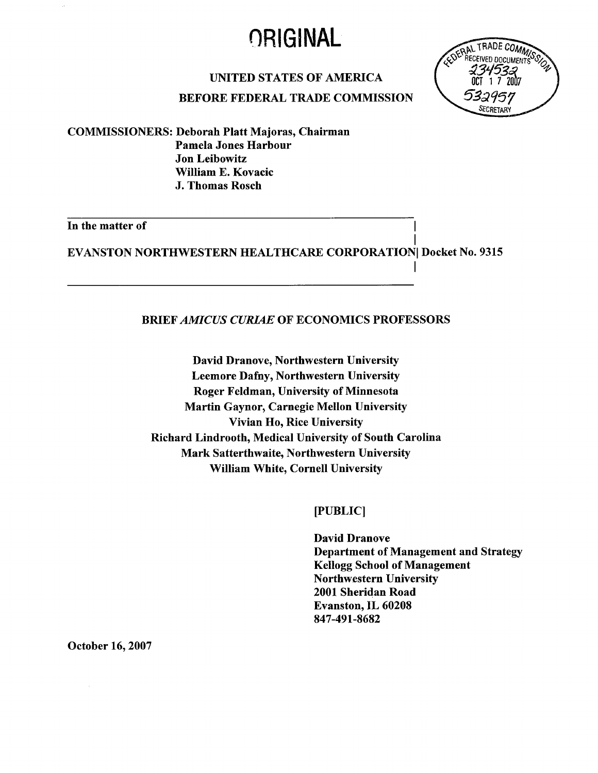## **ORIGINAL**



#### UNITED STATES OF AMERICA

#### BEFORE FEDERAL TRADE COMMISSION

COMMISSIONERS: Deborah Platt Majoras, Chairman Pamela Jones Harbour Jon Leibowitz Wiliam E. Kovacic J. Thomas Rosch

# In the matter of  $\overline{\phantom{a}}$

I EVANSTON NORTHWESTERN HEALTHCARE CORPORATION Docket No. 9315

#### BRIEF AMICUS CURIAE OF ECONOMICS PROFESSORS

David Dranove, Northwestern University Leemore Dafny, Northwestern University Roger Feldman, University of Minnesota Martin Gaynor, Carnegie Mellon University Vivian Ho, Rice University Richard Lindrooth, Medical University of South Carolina Mark Satterthwaite, Northwestern University Wiliam White, Cornell University

(PUBLIC)

David Dranove Department of Management and Strategy Kellogg School of Management Northwestern University 2001 Sheridan Road Evanston, IL 60208 847-491-8682

I

October 16,2007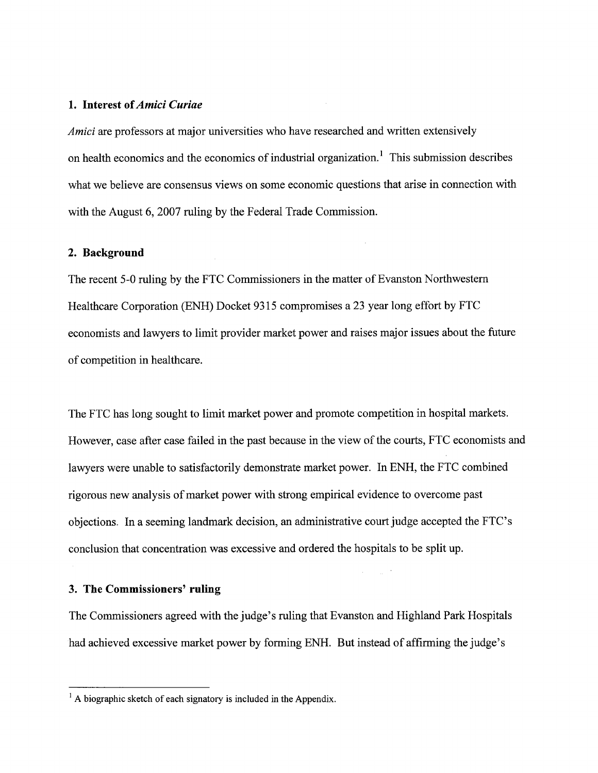#### 1. Interest of Amici Curiae

Amici are professors at major universities who have researched and written extensively on health economics and the economics of industrial organization.<sup>1</sup> This submission describes what we believe are consensus views on some economic questions that arise in connection with with the August 6, 2007 ruling by the Federal Trade Commission.

#### 2. Background

The recent 5-0 ruling by the FTC Commissioners in the matter of Evanston Northwestern Healthcare Corporation (ENH) Docket 9315 compromises a 23 year long effort by FTC economists and lawyers to limit provider market power and raises major issues about the future of competition in healthcare.

The FTC has long sought to limit market power and promote competition in hospital markets. However, case after case failed in the past because in the view of the courts, FTC economists and lawyers were unable to satisfactorily demonstrate market power. In ENH, the FTC combined rigorous new analysis of market power with strong empirical evidence to overcome past objections. In a seeming landmark decision, an administrative court judge accepted the FTC's conclusion that concentration was excessive and ordered the hospitals to be split up.

#### 3. The Commissioners' ruling

The Commissioners agreed with the judge's ruling that Evanston and Highland Park Hospitals had achieved excessive market power by forming ENH. But instead of affrming the judge's

 $\frac{1}{1}$  A biographic sketch of each signatory is included in the Appendix.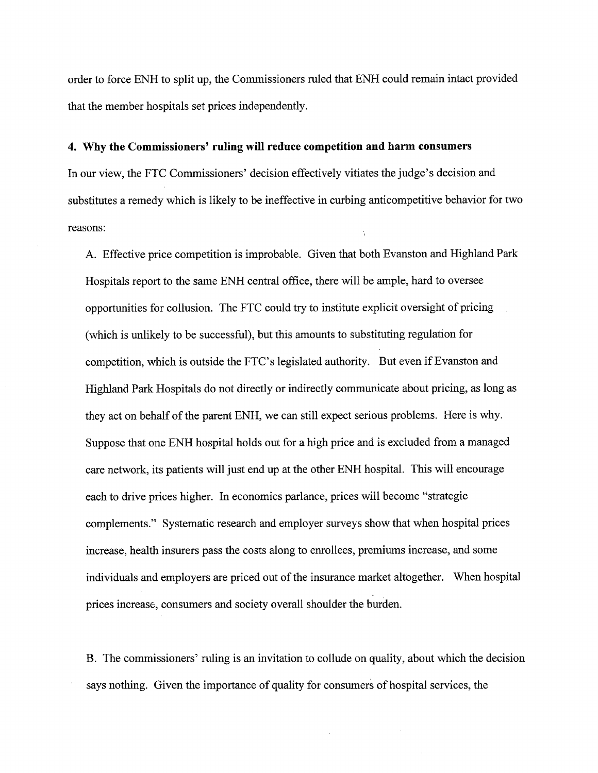order to force ENH to split up, the Commissioners ruled that ENH could remain intact provided that the member hospitals set prices independently.

#### 4. Why the Commissioners' ruling wil reduce competition and harm consumers

In our view, the FTC Commissioners' decision effectively vitiates the judge's decision and substitutes a remedy which is likely to be ineffective in curbing anticompetitive behavior for two reasons:

A. Effective price competition is improbable. Given that both Evanston and Highland Park Hospitals report to the same ENH central office, there will be ample, hard to oversee opportunities for collusion. The FTC could try to institute explicit oversight of pricing (which is unlikely to be successful), but this amounts to substituting regulation for competition, which is outside the FTC's legislated authority. But even if Evanston and Highland Park Hospitals do not directly or indirectly communicate about pricing, as long as they act on behalf of the parent ENH, we can still expect serious problems. Here is why. Suppose that one ENH hospital holds out for a high price and is excluded from a managed care network, its patients will just end up at the other ENH hospital. This will encourage each to drive prices higher. In economics parlance, prices will become "strategic complements." Systematic research and employer surveys show that when hospital prices increase, health insurers pass the costs along to enrollees, premiums increase, and some individuals and employers are priced out of the insurance market altogether. When hospital prices increase, consumers and society overall shoulder the burden.

B. The commissioners' ruling is an invitation to collude on quality, about which the decision says nothing. Given the importance of quality for consumers of hospital services, the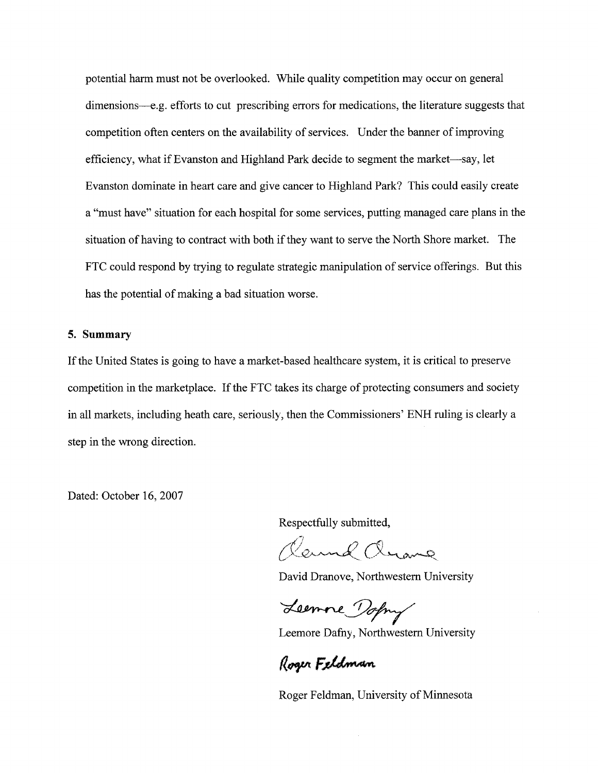potential harm must not be overlooked. While quality competition may occur on general dimensions—e.g. efforts to cut prescribing errors for medications, the literature suggests that competition often centers on the availability of services. Under the banner of improving efficiency, what if Evanston and Highland Park decide to segment the market—say, let Evanston dominate in heart care and give cancer to Highland Park? This could easily create a "must have" situation for each hospital for some services, putting managed care plans in the situation of having to contract with both if they want to serve the North Shore market. The FTC could respond by trying to regulate strategic manipulation of service offerings. But this has the potential of making a bad situation worse.

#### 5. Summary

If the United States is going to have a market-based healthcare system, it is critical to preserve competition in the marketplace. If the FTC takes its charge of protecting consumers and society in all markets, including heath care, seriously, then the Commissioners' ENH ruling is clearly a step in the wrong direction.

Dated: October 16, 2007

Respectfully submitted,

 $\mathcal{O}_r$  -  $\rho \curvearrowright$ Cleame Cleane

David Dranove, Northwestern University

Leemne Dopry

Leemore Dafny, Northwestern University

Roger Feldman

Roger Feldman, University of Minnesota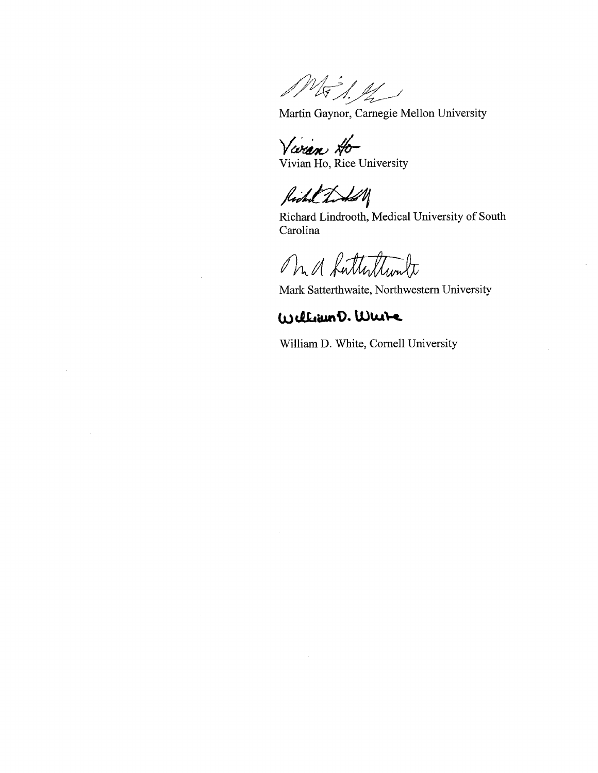MES.M

Martin Gaynor, Carnegie Mellon University

Varan Ho

Richal Todal

Richard Lindrooth, Medical University of South Carolina

Mr. a Lutterttunte

Mark Satterthwaite, Northwestern University

#### William D. Wuite

William D. White, Cornell University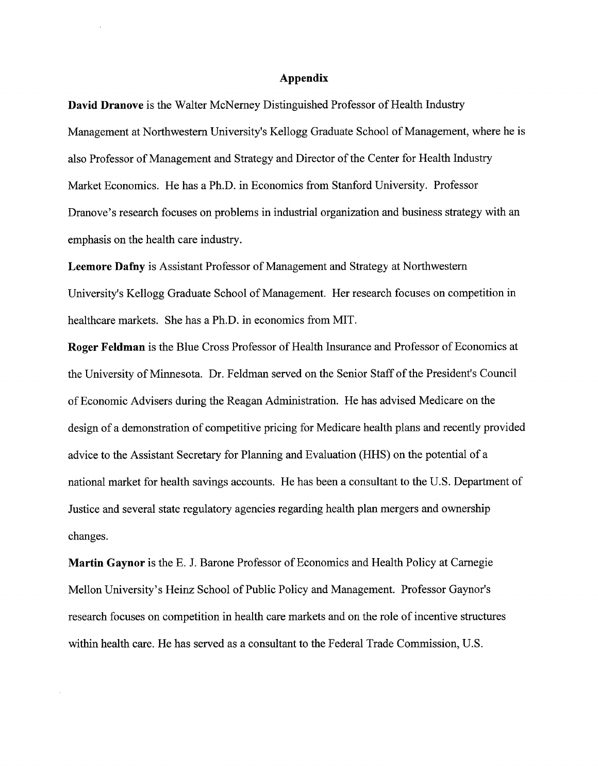#### Appendix

David Dranove is the Walter McNerney Distinguished Professor of Health Industry Management at Northwestern University's Kellogg Graduate School of Management, where he is also Professor of Management and Strategy and Director of the Center for Health Industry Market Economics. He has a Ph.D. in Economics from Stanford University. Professor Dranove's research focuses on problems in industrial organization and business strategy with an emphasis on the health care industry.

Leemore Dafny is Assistant Professor of Management and Strategy at Northwestern University's Kellogg Graduate School of Management. Her research focuses on competition in healthcare markets. She has a Ph.D. in economics from MIT.

Roger Feldman is the Blue Cross Professor of Health Insurance and Professor of Economics at the University of Minnesota. Dr. Feldman served on the Senior Staff of the President's Council of Economic Advisers during the Reagan Administration. He has advised Medicare on the design of a demonstration of competitive pricing for Medicare health plans and recently provided advice to the Assistant Secretary for Planing and Evaluation (HHS) on the potential of a national market for health savings accounts. He has been a consultant to the U.S. Department of Justice and several state regulatory agencies regarding health plan mergers and ownership changes.

Martin Gaynor is the E. J. Barone Professor of Economics and Health Policy at Carnegie Mellon University's Heinz School of Public Policy and Management. Professor Gaynor's research focuses on competition in health care markets and on the role of incentive structures within health care. He has served as a consultant to the Federal Trade Commission, U.S.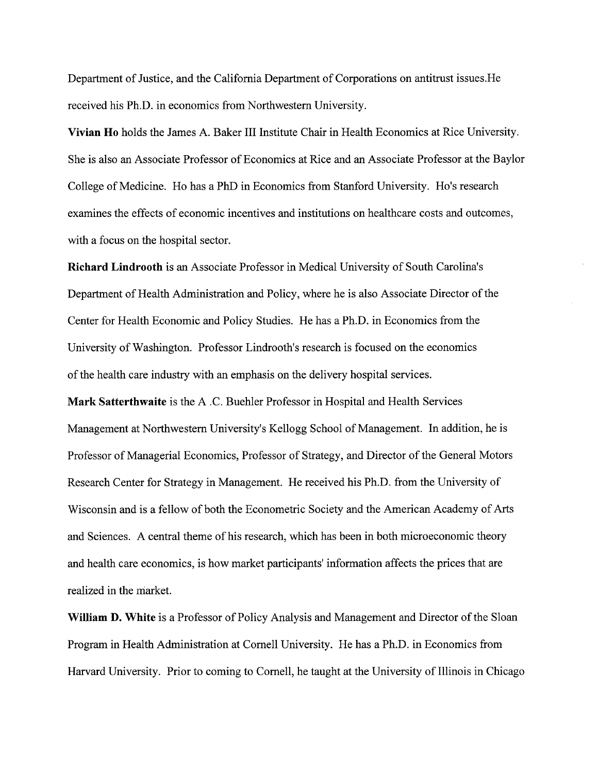Department of Justice, and the California Deparment of Corporations on antitrust issues.He received his Ph.D. in economics from Northwestern University.

Vivian Ho holds the James A. Baker III Institute Chair in Health Economics at Rice University. She is also an Associate Professor of Economics at Rice and an Associate Professor at the Baylor College of Medicine. Ho has a PhD in Economics from Stanford University. Ho's research examines the effects of economic incentives and institutions on healthcare costs and outcomes, with a focus on the hospital sector.

Richard Lindrooth is an Associate Professor in Medical University of South Carolina's Department of Health Administration and Policy, where he is also Associate Director of the Center for Health Economic and Policy Studies. He has a Ph.D. in Economics from the University of Washington. Professor Lindrooth's research is focused on the economics of the health care industry with an emphasis on the delivery hospital services.

Mark Satterthwaite is the A .C. Buehler Professor in Hospital and Health Services Management at Northwestern University's Kellogg School of Management. In addition, he is Professor of Managerial Economics, Professor of Strategy, and Director of the General Motors Research Center for Strategy in Management. He received his Ph.D. from the University of Wisconsin and is a fellow of both the Econometric Society and the American Academy of Arts and Sciences. A central theme of his research, which has been in both microeconomic theory and health care economics, is how market paricipants' information affects the prices that are realized in the market.

William D. White is a Professor of Policy Analysis and Management and Director of the Sloan Program in Health Administration at Cornell University. He has a Ph.D. in Economics from Harvard University. Prior to coming to Cornell, he taught at the University of Ilinois in Chicago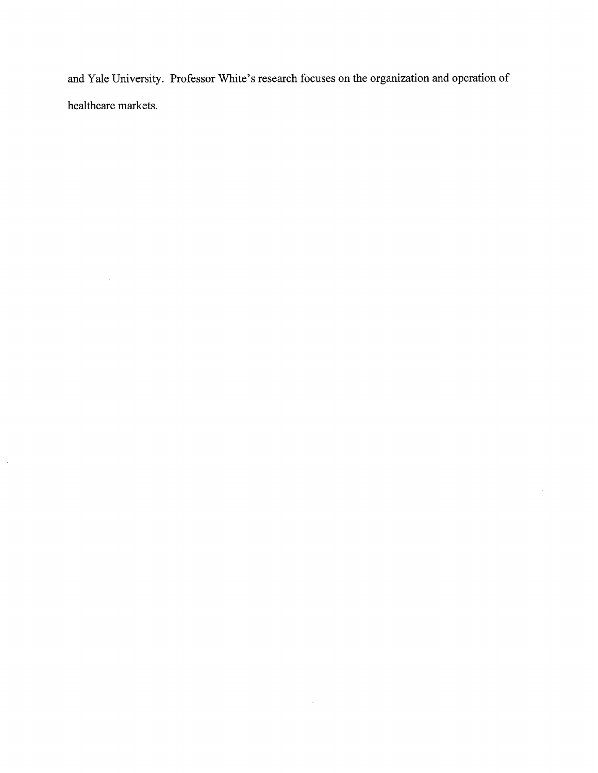and Yale University. Professor White's research focuses on the organization and operation of healthcare markets.

 $\sim$   $\sim$ 

 $\mathcal{L}^{\text{max}}_{\text{max}}$  and  $\mathcal{L}^{\text{max}}_{\text{max}}$ 

 $\mathcal{A}^{\mathcal{A}}$